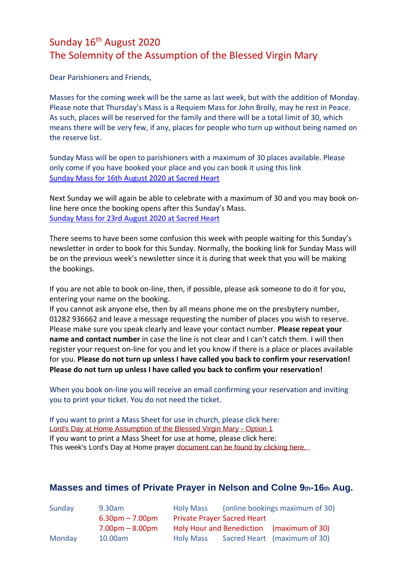## Sunday 16<sup>th</sup> August 2020 The Solemnity of the Assumption of the Blessed Virgin Mary

Dear Parishioners and Friends,

Masses for the coming week will be the same as last week, but with the addition of Monday. Please note that Thursday's Mass is a Requiem Mass for John Brolly, may he rest in Peace. As such, places will be reserved for the family and there will be a total limit of 30, which means there will be very few, if any, places for people who turn up without being named on the reserve list.

Sunday Mass will be open to parishioners with a maximum of 30 places available. Please only come if you have booked your place and you can book it using this link [Sunday Mass for 16th August 2020 at Sacred Heart](https://www.eventbrite.co.uk/e/sunday-mass-16th-august-2020-tickets-116583184443)

Next Sunday we will again be able to celebrate with a maximum of 30 and you may book online here once the booking opens after this Sunday's Mass. [Sunday Mass for 23rd August 2020 at Sacred Heart](https://www.eventbrite.co.uk/e/sunday-mass-23rd-august-2020-tickets-117102539849?aff=affiliate1)

There seems to have been some confusion this week with people waiting for this Sunday's newsletter in order to book for this Sunday. Normally, the booking link for Sunday Mass will be on the previous week's newsletter since it is during that week that you will be making the bookings.

If you are not able to book on-line, then, if possible, please ask someone to do it for you, entering your name on the booking.

If you cannot ask anyone else, then by all means phone me on the presbytery number, 01282 936662 and leave a message requesting the number of places you wish to reserve. Please make sure you speak clearly and leave your contact number. **Please repeat your name and contact number** in case the line is not clear and I can't catch them. I will then register your request on-line for you and let you know if there is a place or places available for you. **Please do not turn up unless I have called you back to confirm your reservation! Please do not turn up unless I have called you back to confirm your reservation!**

When you book on-line you will receive an email confirming your reservation and inviting you to print your ticket. You do not need the ticket.

If you want to print a Mass Sheet for use in church, please click here: [Lord's Day at Home Assumption of the Blessed Virgin Mary -](https://dioceseofsalford.us6.list-manage.com/track/click?u=76e219dab8653b775ba8aac4c&id=8adcb4e4eb&e=5ce69633f0) Option 1 If you want to print a Mass Sheet for use at home, please click here: This week's Lord's Day at Home prayer [document can be found by clicking here.](https://dioceseofsalford.us6.list-manage.com/track/click?u=76e219dab8653b775ba8aac4c&id=69374d6392&e=5ce69633f0) 

## **Masses and times of Private Prayer in Nelson and Colne 9th-16th Aug.**

| Sunday | 9.30am            | <b>Holy Mass</b>                          | (online bookings maximum of 30) |                              |  |
|--------|-------------------|-------------------------------------------|---------------------------------|------------------------------|--|
|        | $6.30pm - 7.00pm$ | <b>Private Prayer Sacred Heart</b>        |                                 |                              |  |
|        | $7.00pm - 8.00pm$ | Holy Hour and Benediction (maximum of 30) |                                 |                              |  |
| Monday | 10.00am           | <b>Holy Mass</b>                          |                                 | Sacred Heart (maximum of 30) |  |